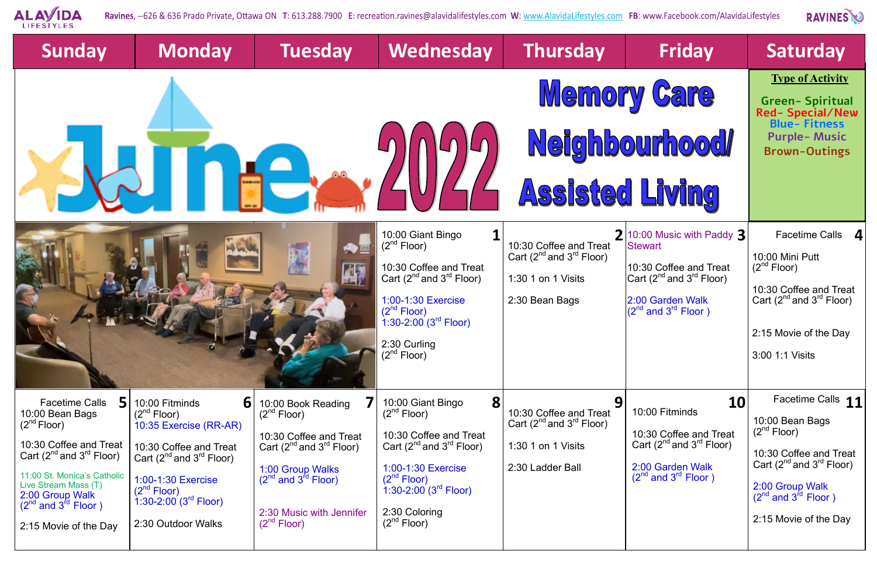

Ravines, --626 & 636 Prado Private, Ottawa ON T: 613.288.7900 E: recreation.ravines@alavidalifestyles.com W: www.AlavidaLifestyles.com FB: www.Facebook.com/AlavidaLifestyles

| <b>Sunday</b>                                                          | <b>Monday</b>                                                        | <b>Tuesday</b>                               | Wednesday                                                                                                                          | <b>Thursday</b>                      | <b>Friday</b>                                                                    | <b>Saturday</b>                                                             |
|------------------------------------------------------------------------|----------------------------------------------------------------------|----------------------------------------------|------------------------------------------------------------------------------------------------------------------------------------|--------------------------------------|----------------------------------------------------------------------------------|-----------------------------------------------------------------------------|
|                                                                        |                                                                      |                                              | <b>Memory Care</b>                                                                                                                 |                                      |                                                                                  | <b>Type of Activity</b><br><b>Green-Spiritual</b><br><b>Red-Special/New</b> |
|                                                                        |                                                                      |                                              |                                                                                                                                    | Neighbourhood                        | <b>Blue-Fitness</b><br><b>Purple-Music</b><br><b>Brown-Outings</b>               |                                                                             |
|                                                                        |                                                                      |                                              |                                                                                                                                    | Assisted Living                      |                                                                                  |                                                                             |
|                                                                        |                                                                      |                                              | 10:00 Giant Bingo<br>(2 <sup>nd</sup> Floor)                                                                                       | 10:30 Coffee and Treat               | 2 10:00 Music with Paddy 3<br><b>Stewart</b>                                     | Facetime Calls 4                                                            |
|                                                                        |                                                                      |                                              | 10:30 Coffee and Treat                                                                                                             | Cart $(2^{nd}$ and $3^{rd}$ Floor)   | 10:30 Coffee and Treat                                                           | 10:00 Mini Putt<br>(2 <sup>nd</sup> Floor)                                  |
|                                                                        |                                                                      |                                              | Cart $(2^{nd}$ and $3^{rd}$ Floor)<br>1:00-1:30 Exercise<br>$(2^{nd}$ Floor)<br>$\overline{1}$ :30-2:00 $^{'}(3^{\sf rd}$ Floor) . | 1:30 1 on 1 Visits<br>2:30 Bean Bags | $ Cart (2nd and 3rd Floor)$<br>2:00 Garden Walk<br>$(2^{nd}$ and $3^{rd}$ Floor) | 10:30 Coffee and Treat<br>Cart $(2^{nd}$ and $3^{rd}$ Floor)                |
|                                                                        |                                                                      |                                              | 2:30 Curling                                                                                                                       |                                      |                                                                                  | 2:15 Movie of the Day                                                       |
|                                                                        |                                                                      |                                              | $(2^{nd}$ Floor)                                                                                                                   |                                      |                                                                                  | 3:00 1:1 Visits                                                             |
| <b>Facetime Calls</b><br>10:00 Bean Bags                               | 10:00 Fitminds<br>61<br>$(2^{nd}$ Floor)                             | 10:00 Book Reading<br>$(2^{nd}$ Floor)       | 8<br>10:00 Giant Bingo<br>$(2^{na}$ Floor)                                                                                         | 9<br>10:30 Coffee and Treat          | 10<br>10:00 Fitminds                                                             | Facetime Calls 11                                                           |
| $(2^{nd}$ Floor)                                                       | 10:35 Exercise (RR-AR)                                               | 10:30 Coffee and Treat                       | 10:30 Coffee and Treat                                                                                                             | Cart $(2^{nd}$ and $3^{rd}$ Floor)   | 10:30 Coffee and Treat                                                           | 10:00 Bean Bags<br>$(2^{nd}$ Floor)                                         |
| 10:30 Coffee and Treat<br>Cart $(2^{nd}$ and $3^{rd}$ Floor)           | 10:30 Coffee and Treat<br>Cart $(2^{nd}$ and $3^{rd}$ Floor)         | Cart $(2^{nd}$ and $3^{rd}$ Floor)           | Cart $(2^{nd}$ and $3^{rd}$ Floor)                                                                                                 | 1:30 1 on 1 Visits                   | Cart $(2^{nd}$ and $3^{rd}$ Floor)                                               | 10:30 Coffee and Treat<br>Cart $(2^{nd}$ and $3^{rd}$ Floor)                |
| 11:00 St. Monica's Catholic<br>Live Stream Mass (T)<br>2:00 Group Walk | 1:00-1:30 Exercise<br>$(2^{nd}$ Floor)<br>1:30-2:00 $(3^{rd}$ Floor) | 1:00 Group Walks<br>$(2nd$ and $3id$ Floor)  | 1:00-1:30 Exercise<br>(2 <sup>nd</sup> Floor)<br>$1:30 - 2:00$ (3 <sup>rd</sup> Floor)                                             | 2:30 Ladder Ball                     | 2:00 Garden Walk<br>$(2^{nd}$ and $3^{rd}$ Floor)                                | 2:00 Group Walk<br>$(2^{nd}$ and $3^{rd}$ Floor)                            |
| $(2^{nd}$ and $3^{rd}$ Floor)<br>2:15 Movie of the Day                 | 2:30 Outdoor Walks                                                   | 2:30 Music with Jennifer<br>$(2^{nd}$ Floor) | 2:30 Coloring<br>$(2^{nd}$ Floor)                                                                                                  |                                      |                                                                                  | 2:15 Movie of the Day                                                       |